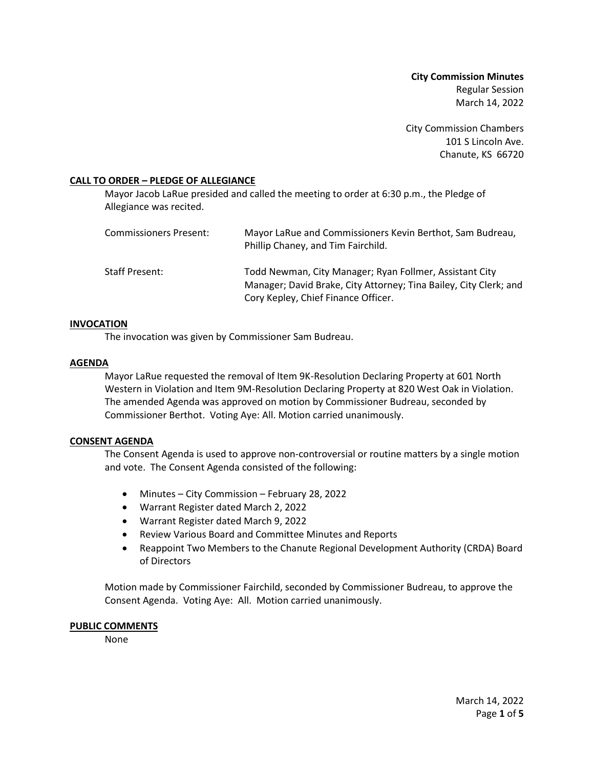**City Commission Minutes** Regular Session March 14, 2022

City Commission Chambers 101 S Lincoln Ave. Chanute, KS 66720

## **CALL TO ORDER – PLEDGE OF ALLEGIANCE**

Mayor Jacob LaRue presided and called the meeting to order at 6:30 p.m., the Pledge of Allegiance was recited.

| Commissioners Present: | Mayor LaRue and Commissioners Kevin Berthot, Sam Budreau,<br>Phillip Chaney, and Tim Fairchild.                                                                     |
|------------------------|---------------------------------------------------------------------------------------------------------------------------------------------------------------------|
| Staff Present:         | Todd Newman, City Manager; Ryan Follmer, Assistant City<br>Manager; David Brake, City Attorney; Tina Bailey, City Clerk; and<br>Cory Kepley, Chief Finance Officer. |

## **INVOCATION**

The invocation was given by Commissioner Sam Budreau.

## **AGENDA**

Mayor LaRue requested the removal of Item 9K-Resolution Declaring Property at 601 North Western in Violation and Item 9M-Resolution Declaring Property at 820 West Oak in Violation. The amended Agenda was approved on motion by Commissioner Budreau, seconded by Commissioner Berthot. Voting Aye: All. Motion carried unanimously.

## **CONSENT AGENDA**

The Consent Agenda is used to approve non-controversial or routine matters by a single motion and vote. The Consent Agenda consisted of the following:

- Minutes City Commission February 28, 2022
- Warrant Register dated March 2, 2022
- Warrant Register dated March 9, 2022
- Review Various Board and Committee Minutes and Reports
- Reappoint Two Members to the Chanute Regional Development Authority (CRDA) Board of Directors

Motion made by Commissioner Fairchild, seconded by Commissioner Budreau, to approve the Consent Agenda. Voting Aye: All. Motion carried unanimously.

## **PUBLIC COMMENTS**

None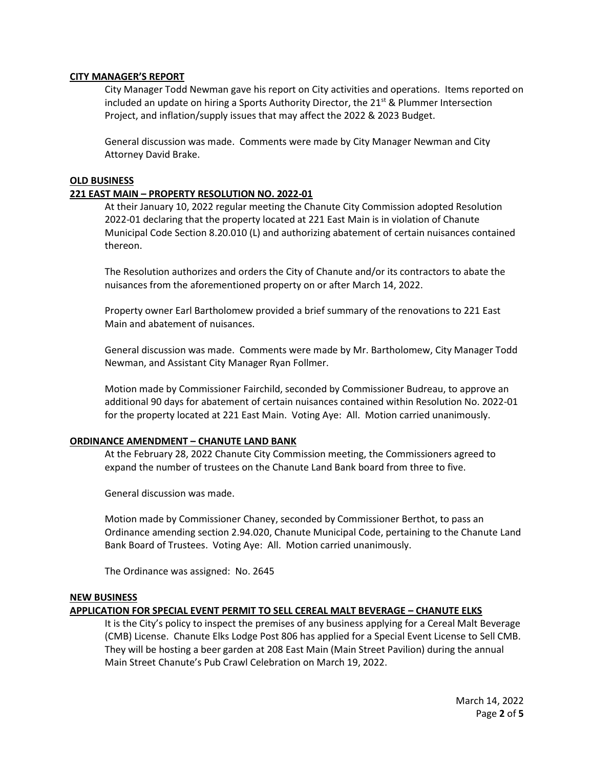## **CITY MANAGER'S REPORT**

City Manager Todd Newman gave his report on City activities and operations. Items reported on included an update on hiring a Sports Authority Director, the  $21^{st}$  & Plummer Intersection Project, and inflation/supply issues that may affect the 2022 & 2023 Budget.

General discussion was made. Comments were made by City Manager Newman and City Attorney David Brake.

## **OLD BUSINESS**

## **221 EAST MAIN – PROPERTY RESOLUTION NO. 2022-01**

At their January 10, 2022 regular meeting the Chanute City Commission adopted Resolution 2022-01 declaring that the property located at 221 East Main is in violation of Chanute Municipal Code Section 8.20.010 (L) and authorizing abatement of certain nuisances contained thereon.

The Resolution authorizes and orders the City of Chanute and/or its contractors to abate the nuisances from the aforementioned property on or after March 14, 2022.

Property owner Earl Bartholomew provided a brief summary of the renovations to 221 East Main and abatement of nuisances.

General discussion was made. Comments were made by Mr. Bartholomew, City Manager Todd Newman, and Assistant City Manager Ryan Follmer.

Motion made by Commissioner Fairchild, seconded by Commissioner Budreau, to approve an additional 90 days for abatement of certain nuisances contained within Resolution No. 2022-01 for the property located at 221 East Main. Voting Aye: All. Motion carried unanimously.

## **ORDINANCE AMENDMENT – CHANUTE LAND BANK**

At the February 28, 2022 Chanute City Commission meeting, the Commissioners agreed to expand the number of trustees on the Chanute Land Bank board from three to five.

General discussion was made.

Motion made by Commissioner Chaney, seconded by Commissioner Berthot, to pass an Ordinance amending section 2.94.020, Chanute Municipal Code, pertaining to the Chanute Land Bank Board of Trustees. Voting Aye: All. Motion carried unanimously.

The Ordinance was assigned: No. 2645

## **NEW BUSINESS**

## **APPLICATION FOR SPECIAL EVENT PERMIT TO SELL CEREAL MALT BEVERAGE – CHANUTE ELKS**

It is the City's policy to inspect the premises of any business applying for a Cereal Malt Beverage (CMB) License. Chanute Elks Lodge Post 806 has applied for a Special Event License to Sell CMB. They will be hosting a beer garden at 208 East Main (Main Street Pavilion) during the annual Main Street Chanute's Pub Crawl Celebration on March 19, 2022.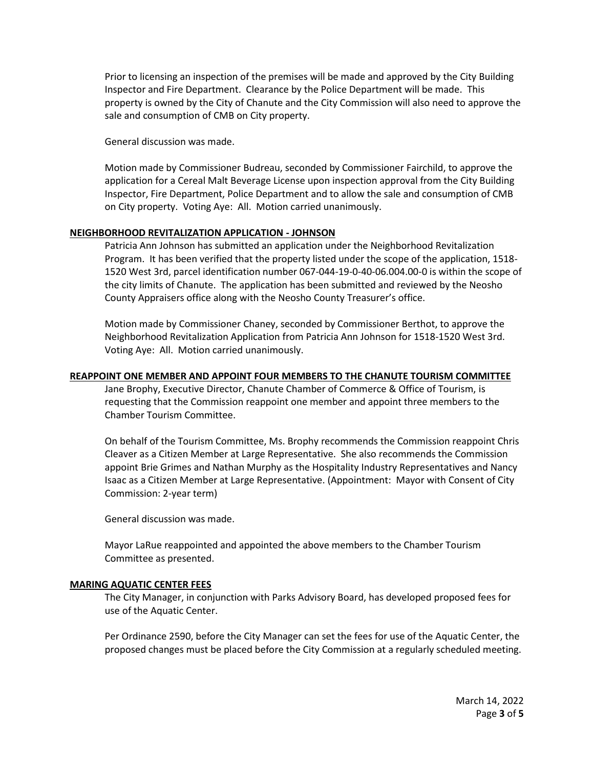Prior to licensing an inspection of the premises will be made and approved by the City Building Inspector and Fire Department. Clearance by the Police Department will be made. This property is owned by the City of Chanute and the City Commission will also need to approve the sale and consumption of CMB on City property.

General discussion was made.

Motion made by Commissioner Budreau, seconded by Commissioner Fairchild, to approve the application for a Cereal Malt Beverage License upon inspection approval from the City Building Inspector, Fire Department, Police Department and to allow the sale and consumption of CMB on City property. Voting Aye: All. Motion carried unanimously.

## **NEIGHBORHOOD REVITALIZATION APPLICATION - JOHNSON**

Patricia Ann Johnson has submitted an application under the Neighborhood Revitalization Program. It has been verified that the property listed under the scope of the application, 1518- 1520 West 3rd, parcel identification number 067-044-19-0-40-06.004.00-0 is within the scope of the city limits of Chanute. The application has been submitted and reviewed by the Neosho County Appraisers office along with the Neosho County Treasurer's office.

Motion made by Commissioner Chaney, seconded by Commissioner Berthot, to approve the Neighborhood Revitalization Application from Patricia Ann Johnson for 1518-1520 West 3rd. Voting Aye: All. Motion carried unanimously.

## **REAPPOINT ONE MEMBER AND APPOINT FOUR MEMBERS TO THE CHANUTE TOURISM COMMITTEE**

Jane Brophy, Executive Director, Chanute Chamber of Commerce & Office of Tourism, is requesting that the Commission reappoint one member and appoint three members to the Chamber Tourism Committee.

On behalf of the Tourism Committee, Ms. Brophy recommends the Commission reappoint Chris Cleaver as a Citizen Member at Large Representative. She also recommends the Commission appoint Brie Grimes and Nathan Murphy as the Hospitality Industry Representatives and Nancy Isaac as a Citizen Member at Large Representative. (Appointment: Mayor with Consent of City Commission: 2-year term)

General discussion was made.

Mayor LaRue reappointed and appointed the above members to the Chamber Tourism Committee as presented.

## **MARING AQUATIC CENTER FEES**

The City Manager, in conjunction with Parks Advisory Board, has developed proposed fees for use of the Aquatic Center.

Per Ordinance 2590, before the City Manager can set the fees for use of the Aquatic Center, the proposed changes must be placed before the City Commission at a regularly scheduled meeting.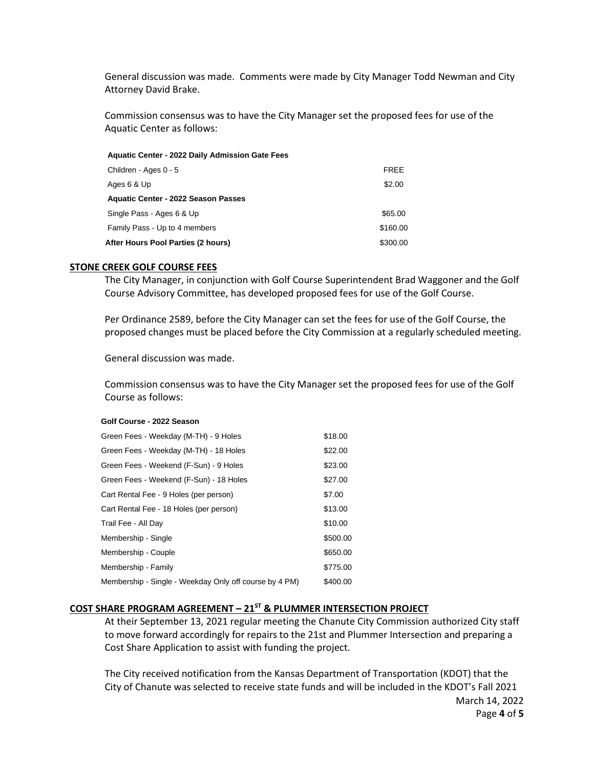General discussion was made. Comments were made by City Manager Todd Newman and City Attorney David Brake.

Commission consensus was to have the City Manager set the proposed fees for use of the Aquatic Center as follows:

| <b>Aquatic Center - 2022 Daily Admission Gate Fees</b> |          |
|--------------------------------------------------------|----------|
| Children - Ages 0 - 5                                  | FREE     |
| Ages 6 & Up                                            | \$2.00   |
| <b>Aquatic Center - 2022 Season Passes</b>             |          |
| Single Pass - Ages 6 & Up                              | \$65.00  |
| Family Pass - Up to 4 members                          | \$160.00 |
| After Hours Pool Parties (2 hours)                     | \$300.00 |

#### **STONE CREEK GOLF COURSE FEES**

The City Manager, in conjunction with Golf Course Superintendent Brad Waggoner and the Golf Course Advisory Committee, has developed proposed fees for use of the Golf Course.

Per Ordinance 2589, before the City Manager can set the fees for use of the Golf Course, the proposed changes must be placed before the City Commission at a regularly scheduled meeting.

General discussion was made.

Commission consensus was to have the City Manager set the proposed fees for use of the Golf Course as follows:

#### **Golf Course - 2022 Season**

| Green Fees - Weekday (M-TH) - 9 Holes                  | \$18.00  |
|--------------------------------------------------------|----------|
| Green Fees - Weekday (M-TH) - 18 Holes                 | \$22.00  |
| Green Fees - Weekend (F-Sun) - 9 Holes                 | \$23.00  |
| Green Fees - Weekend (F-Sun) - 18 Holes                | \$27.00  |
| Cart Rental Fee - 9 Holes (per person)                 | \$7.00   |
| Cart Rental Fee - 18 Holes (per person)                | \$13.00  |
| Trail Fee - All Day                                    | \$10.00  |
| Membership - Single                                    | \$500.00 |
| Membership - Couple                                    | \$650.00 |
| Membership - Family                                    | \$775.00 |
| Membership - Single - Weekday Only off course by 4 PM) | \$400.00 |
|                                                        |          |

# **COST SHARE PROGRAM AGREEMENT – 21ST & PLUMMER INTERSECTION PROJECT**

At their September 13, 2021 regular meeting the Chanute City Commission authorized City staff to move forward accordingly for repairs to the 21st and Plummer Intersection and preparing a Cost Share Application to assist with funding the project.

March 14, 2022 The City received notification from the Kansas Department of Transportation (KDOT) that the City of Chanute was selected to receive state funds and will be included in the KDOT's Fall 2021